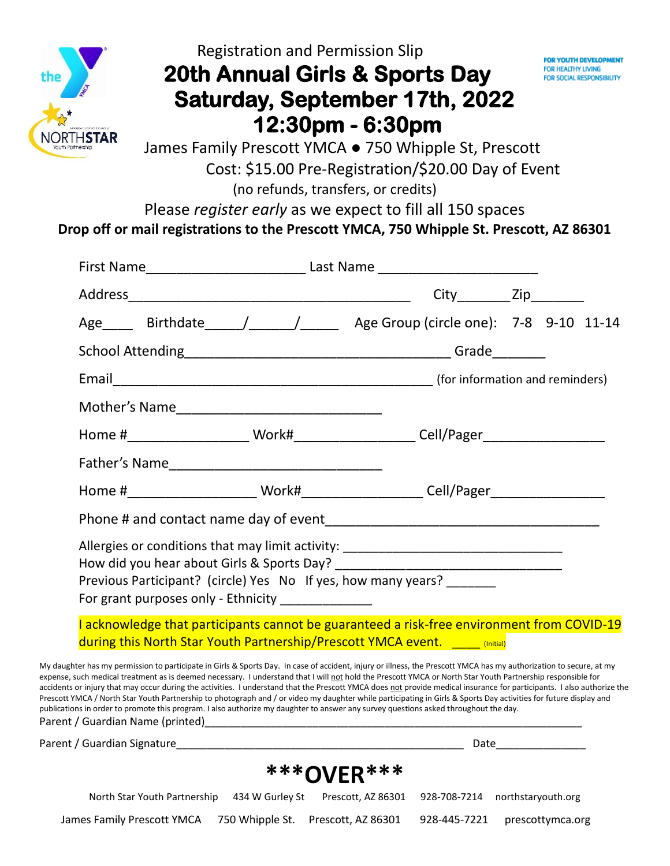

# Registration and Permission Slip  **20th Annual Girls & Sports Day Saturday, September 17th, 2022 12:30pm - 6:30pm**



 James Family Prescott YMCA ● 750 Whipple St, Prescott Cost: \$15.00 Pre-Registration/\$20.00 Day of Event (no refunds, transfers, or credits)

Please *register early* as we expect to fill all 150 spaces **Drop off or mail registrations to the Prescott YMCA, 750 Whipple St. Prescott, AZ 86301**

|  |                                                  | Age _____ Birthdate _____/______/______ Age Group (circle one): 7-8 9-10 11-14                                                                                                                                                                                                                                                                                                                                                                                                                                                                                                                                                                                                                                                                                                                                             |                                                                                                      |  |                  |  |
|--|--------------------------------------------------|----------------------------------------------------------------------------------------------------------------------------------------------------------------------------------------------------------------------------------------------------------------------------------------------------------------------------------------------------------------------------------------------------------------------------------------------------------------------------------------------------------------------------------------------------------------------------------------------------------------------------------------------------------------------------------------------------------------------------------------------------------------------------------------------------------------------------|------------------------------------------------------------------------------------------------------|--|------------------|--|
|  |                                                  |                                                                                                                                                                                                                                                                                                                                                                                                                                                                                                                                                                                                                                                                                                                                                                                                                            |                                                                                                      |  |                  |  |
|  |                                                  |                                                                                                                                                                                                                                                                                                                                                                                                                                                                                                                                                                                                                                                                                                                                                                                                                            |                                                                                                      |  |                  |  |
|  |                                                  |                                                                                                                                                                                                                                                                                                                                                                                                                                                                                                                                                                                                                                                                                                                                                                                                                            |                                                                                                      |  |                  |  |
|  |                                                  |                                                                                                                                                                                                                                                                                                                                                                                                                                                                                                                                                                                                                                                                                                                                                                                                                            | Home #___________________________Work#_______________________Cell/Pager_____________________________ |  |                  |  |
|  |                                                  |                                                                                                                                                                                                                                                                                                                                                                                                                                                                                                                                                                                                                                                                                                                                                                                                                            |                                                                                                      |  |                  |  |
|  |                                                  |                                                                                                                                                                                                                                                                                                                                                                                                                                                                                                                                                                                                                                                                                                                                                                                                                            | Home #__________________________Work#_______________________Cell/Pager______________________________ |  |                  |  |
|  |                                                  |                                                                                                                                                                                                                                                                                                                                                                                                                                                                                                                                                                                                                                                                                                                                                                                                                            |                                                                                                      |  |                  |  |
|  | For grant purposes only - Ethnicity ____________ | Allergies or conditions that may limit activity: _______________________________<br>Previous Participant? (circle) Yes No If yes, how many years?                                                                                                                                                                                                                                                                                                                                                                                                                                                                                                                                                                                                                                                                          |                                                                                                      |  |                  |  |
|  |                                                  | I acknowledge that participants cannot be guaranteed a risk-free environment from COVID-19<br>during this North Star Youth Partnership/Prescott YMCA event. ____ (Initial)                                                                                                                                                                                                                                                                                                                                                                                                                                                                                                                                                                                                                                                 |                                                                                                      |  |                  |  |
|  |                                                  | My daughter has my permission to participate in Girls & Sports Day. In case of accident, injury or illness, the Prescott YMCA has my authorization to secure, at my<br>expense, such medical treatment as is deemed necessary. I understand that I will not hold the Prescott YMCA or North Star Youth Partnership responsible for<br>accidents or injury that may occur during the activities. I understand that the Prescott YMCA does not provide medical insurance for participants. I also authorize the<br>Prescott YMCA / North Star Youth Partnership to photograph and / or video my daughter while participating in Girls & Sports Day activities for future display and<br>publications in order to promote this program. I also authorize my daughter to answer any survey questions asked throughout the day. |                                                                                                      |  |                  |  |
|  |                                                  | Parent / Guardian Signature and Communications of the Communication of the Communications of the Communication                                                                                                                                                                                                                                                                                                                                                                                                                                                                                                                                                                                                                                                                                                             |                                                                                                      |  |                  |  |
|  |                                                  | <b>***OVER***</b>                                                                                                                                                                                                                                                                                                                                                                                                                                                                                                                                                                                                                                                                                                                                                                                                          |                                                                                                      |  |                  |  |
|  | North Star Youth Partnership 434 W Gurley St     | Prescott, AZ 86301 928-708-7214 northstaryouth.org                                                                                                                                                                                                                                                                                                                                                                                                                                                                                                                                                                                                                                                                                                                                                                         |                                                                                                      |  |                  |  |
|  |                                                  | James Family Prescott YMCA 750 Whipple St. Prescott, AZ 86301 928-445-7221                                                                                                                                                                                                                                                                                                                                                                                                                                                                                                                                                                                                                                                                                                                                                 |                                                                                                      |  | prescottymca.org |  |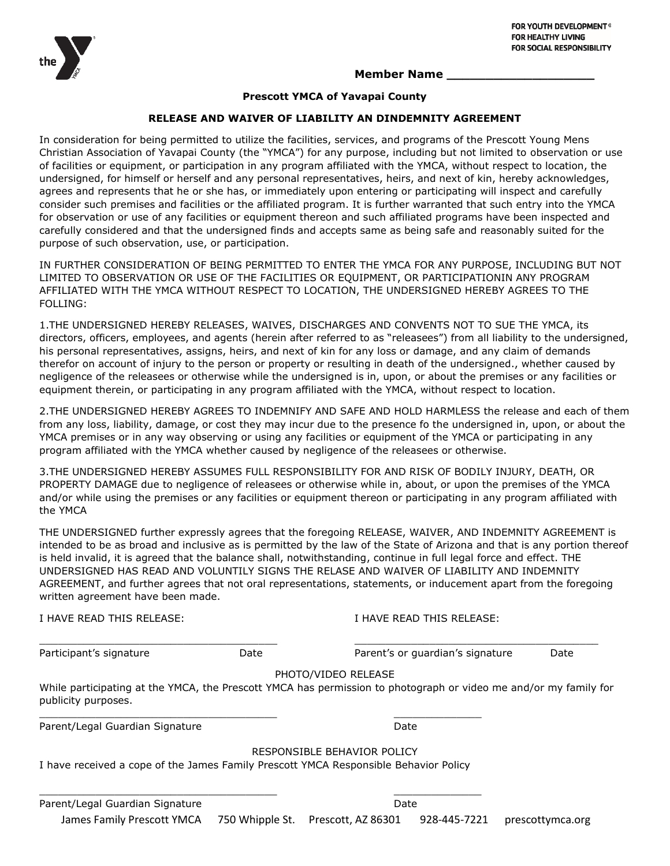

#### **Member Name \_\_\_\_\_\_\_\_\_\_\_\_\_\_\_\_\_\_\_**

#### **Prescott YMCA of Yavapai County**

#### **RELEASE AND WAIVER OF LIABILITY AN DINDEMNITY AGREEMENT**

In consideration for being permitted to utilize the facilities, services, and programs of the Prescott Young Mens Christian Association of Yavapai County (the "YMCA") for any purpose, including but not limited to observation or use of facilities or equipment, or participation in any program affiliated with the YMCA, without respect to location, the undersigned, for himself or herself and any personal representatives, heirs, and next of kin, hereby acknowledges, agrees and represents that he or she has, or immediately upon entering or participating will inspect and carefully consider such premises and facilities or the affiliated program. It is further warranted that such entry into the YMCA for observation or use of any facilities or equipment thereon and such affiliated programs have been inspected and carefully considered and that the undersigned finds and accepts same as being safe and reasonably suited for the purpose of such observation, use, or participation.

IN FURTHER CONSIDERATION OF BEING PERMITTED TO ENTER THE YMCA FOR ANY PURPOSE, INCLUDING BUT NOT LIMITED TO OBSERVATION OR USE OF THE FACILITIES OR EQUIPMENT, OR PARTICIPATIONIN ANY PROGRAM AFFILIATED WITH THE YMCA WITHOUT RESPECT TO LOCATION, THE UNDERSIGNED HEREBY AGREES TO THE FOLLING:

1.THE UNDERSIGNED HEREBY RELEASES, WAIVES, DISCHARGES AND CONVENTS NOT TO SUE THE YMCA, its directors, officers, employees, and agents (herein after referred to as "releasees") from all liability to the undersigned, his personal representatives, assigns, heirs, and next of kin for any loss or damage, and any claim of demands therefor on account of injury to the person or property or resulting in death of the undersigned., whether caused by negligence of the releasees or otherwise while the undersigned is in, upon, or about the premises or any facilities or equipment therein, or participating in any program affiliated with the YMCA, without respect to location.

2.THE UNDERSIGNED HEREBY AGREES TO INDEMNIFY AND SAFE AND HOLD HARMLESS the release and each of them from any loss, liability, damage, or cost they may incur due to the presence fo the undersigned in, upon, or about the YMCA premises or in any way observing or using any facilities or equipment of the YMCA or participating in any program affiliated with the YMCA whether caused by negligence of the releasees or otherwise.

3.THE UNDERSIGNED HEREBY ASSUMES FULL RESPONSIBILITY FOR AND RISK OF BODILY INJURY, DEATH, OR PROPERTY DAMAGE due to negligence of releasees or otherwise while in, about, or upon the premises of the YMCA and/or while using the premises or any facilities or equipment thereon or participating in any program affiliated with the YMCA

THE UNDERSIGNED further expressly agrees that the foregoing RELEASE, WAIVER, AND INDEMNITY AGREEMENT is intended to be as broad and inclusive as is permitted by the law of the State of Arizona and that is any portion thereof is held invalid, it is agreed that the balance shall, notwithstanding, continue in full legal force and effect. THE UNDERSIGNED HAS READ AND VOLUNTILY SIGNS THE RELASE AND WAIVER OF LIABILITY AND INDEMNITY AGREEMENT, and further agrees that not oral representations, statements, or inducement apart from the foregoing written agreement have been made.

|      | I HAVE READ THIS RELEASE:        |                                                                                                                                                                                                                                                                |  |  |
|------|----------------------------------|----------------------------------------------------------------------------------------------------------------------------------------------------------------------------------------------------------------------------------------------------------------|--|--|
| Date | Parent's or guardian's signature | Date                                                                                                                                                                                                                                                           |  |  |
|      |                                  |                                                                                                                                                                                                                                                                |  |  |
|      |                                  |                                                                                                                                                                                                                                                                |  |  |
|      | Date                             |                                                                                                                                                                                                                                                                |  |  |
|      |                                  |                                                                                                                                                                                                                                                                |  |  |
|      |                                  |                                                                                                                                                                                                                                                                |  |  |
|      | Date                             |                                                                                                                                                                                                                                                                |  |  |
|      |                                  | PHOTO/VIDEO RELEASE<br>While participating at the YMCA, the Prescott YMCA has permission to photograph or video me and/or my family for<br>RESPONSIBLE BEHAVIOR POLICY<br>I have received a cope of the James Family Prescott YMCA Responsible Behavior Policy |  |  |

James Family Prescott YMCA 750 Whipple St. Prescott, AZ 86301 928-445-7221 prescottymca.org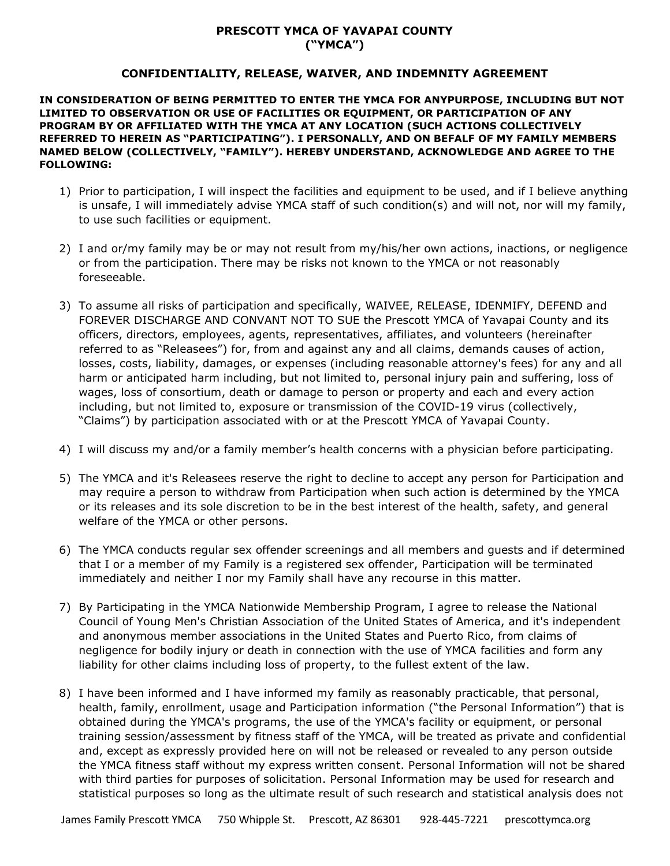## **PRESCOTT YMCA OF YAVAPAI COUNTY ("YMCA")**

### **CONFIDENTIALITY, RELEASE, WAIVER, AND INDEMNITY AGREEMENT**

**IN CONSIDERATION OF BEING PERMITTED TO ENTER THE YMCA FOR ANYPURPOSE, INCLUDING BUT NOT LIMITED TO OBSERVATION OR USE OF FACILITIES OR EQUIPMENT, OR PARTICIPATION OF ANY PROGRAM BY OR AFFILIATED WITH THE YMCA AT ANY LOCATION (SUCH ACTIONS COLLECTIVELY REFERRED TO HEREIN AS "PARTICIPATING"). I PERSONALLY, AND ON BEFALF OF MY FAMILY MEMBERS NAMED BELOW (COLLECTIVELY, "FAMILY"). HEREBY UNDERSTAND, ACKNOWLEDGE AND AGREE TO THE FOLLOWING:**

- 1) Prior to participation, I will inspect the facilities and equipment to be used, and if I believe anything is unsafe, I will immediately advise YMCA staff of such condition(s) and will not, nor will my family, to use such facilities or equipment.
- 2) I and or/my family may be or may not result from my/his/her own actions, inactions, or negligence or from the participation. There may be risks not known to the YMCA or not reasonably foreseeable.
- 3) To assume all risks of participation and specifically, WAIVEE, RELEASE, IDENMIFY, DEFEND and FOREVER DISCHARGE AND CONVANT NOT TO SUE the Prescott YMCA of Yavapai County and its officers, directors, employees, agents, representatives, affiliates, and volunteers (hereinafter referred to as "Releasees") for, from and against any and all claims, demands causes of action, losses, costs, liability, damages, or expenses (including reasonable attorney's fees) for any and all harm or anticipated harm including, but not limited to, personal injury pain and suffering, loss of wages, loss of consortium, death or damage to person or property and each and every action including, but not limited to, exposure or transmission of the COVID-19 virus (collectively, "Claims") by participation associated with or at the Prescott YMCA of Yavapai County.
- 4) I will discuss my and/or a family member's health concerns with a physician before participating.
- 5) The YMCA and it's Releasees reserve the right to decline to accept any person for Participation and may require a person to withdraw from Participation when such action is determined by the YMCA or its releases and its sole discretion to be in the best interest of the health, safety, and general welfare of the YMCA or other persons.
- 6) The YMCA conducts regular sex offender screenings and all members and guests and if determined that I or a member of my Family is a registered sex offender, Participation will be terminated immediately and neither I nor my Family shall have any recourse in this matter.
- 7) By Participating in the YMCA Nationwide Membership Program, I agree to release the National Council of Young Men's Christian Association of the United States of America, and it's independent and anonymous member associations in the United States and Puerto Rico, from claims of negligence for bodily injury or death in connection with the use of YMCA facilities and form any liability for other claims including loss of property, to the fullest extent of the law.
- 8) I have been informed and I have informed my family as reasonably practicable, that personal, health, family, enrollment, usage and Participation information ("the Personal Information") that is obtained during the YMCA's programs, the use of the YMCA's facility or equipment, or personal training session/assessment by fitness staff of the YMCA, will be treated as private and confidential and, except as expressly provided here on will not be released or revealed to any person outside the YMCA fitness staff without my express written consent. Personal Information will not be shared with third parties for purposes of solicitation. Personal Information may be used for research and statistical purposes so long as the ultimate result of such research and statistical analysis does not